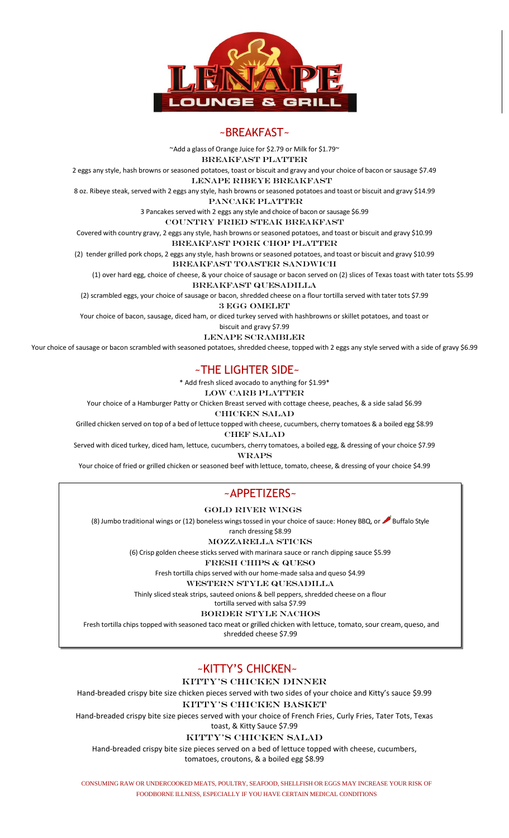

## ~BREAKFAST~

~Add a glass of Orange Juice for \$2.79 or Milk for \$1.79~

Breakfast platter

2 eggs any style, hash browns or seasoned potatoes, toast or biscuit and gravy and your choice of bacon or sausage \$7.49

Lenape Ribeye Breakfast

8 oz. Ribeye steak, served with 2 eggs any style, hash browns or seasoned potatoes and toast or biscuit and gravy \$14.99

pancake platter

3 Pancakes served with 2 eggs any style and choice of bacon or sausage \$6.99

Country Fried Steak Breakfast

Covered with country gravy, 2 eggs any style, hash browns or seasoned potatoes, and toast or biscuit and gravy \$10.99

Breakfast Pork Chop Platter

(2) tender grilled pork chops, 2 eggs any style, hash browns or seasoned potatoes, and toast or biscuit and gravy \$10.99

#### Breakfast Toaster Sandwich

(1) over hard egg, choice of cheese, & your choice of sausage or bacon served on (2) slices of Texas toast with tater tots \$5.99 Breakfast quesadilla

(2) scrambled eggs, your choice of sausage or bacon, shredded cheese on a flour tortilla served with tater tots \$7.99

3 Egg omelet

Your choice of bacon, sausage, diced ham, or diced turkey served with hashbrowns or skillet potatoes, and toast or

biscuit and gravy \$7.99

Lenape scrambler

Your choice of sausage or bacon scrambled with seasoned potatoes, shredded cheese, topped with 2 eggs any style served with a side of gravy \$6.99

## ~THE LIGHTER SIDE~

\* Add fresh sliced avocado to anything for \$1.99\*

LOW CARB PLATTER

Your choice of a Hamburger Patty or Chicken Breast served with cottage cheese, peaches, & a side salad \$6.99

Chicken Salad

Grilled chicken served on top of a bed of lettuce topped with cheese, cucumbers, cherry tomatoes & a boiled egg \$8.99 **CHEF SALAD** 

Served with diced turkey, diced ham, lettuce, cucumbers, cherry tomatoes, a boiled egg, & dressing of your choice \$7.99 **WRAPS** 

Your choice of fried or grilled chicken or seasoned beef with lettuce, tomato, cheese, & dressing of your choice \$4.99

# ~APPETIZERS~

Gold river Wings

(8) Jumbo traditional wings or (12) boneless wings tossed in your choice of sauce: Honey BBQ, or  $\rightarrow$  Buffalo Style

ranch dressing \$8.99

Mozzarella Sticks

(6) Crisp golden cheese sticks served with marinara sauce or ranch dipping sauce \$5.99 Fresh Chips & Queso

Fresh tortilla chips served with our home-made salsa and queso \$4.99

Western style quesadilla

Thinly sliced steak strips, sauteed onions & bell peppers, shredded cheese on a flour

tortilla served with salsa \$7.99

Border style nachos

Fresh tortilla chips topped with seasoned taco meat or grilled chicken with lettuce, tomato, sour cream, queso, and

shredded cheese \$7.99

# ~KITTY'S CHICKEN~

KITTY's CHICKEN DINNER

Hand-breaded crispy bite size chicken pieces served with two sides of your choice and Kitty's sauce \$9.99

kitty's chicken basket

Hand-breaded crispy bite size pieces served with your choice of French Fries, Curly Fries, Tater Tots, Texas toast, & Kitty Sauce \$7.99

kitty's chicken salad

Hand-breaded crispy bite size pieces served on a bed of lettuce topped with cheese, cucumbers, tomatoes, croutons, & a boiled egg \$8.99

CONSUMING RAW OR UNDERCOOKED MEATS, POULTRY, SEAFOOD, SHELLFISH OR EGGS MAY INCREASE YOUR RISK OF FOODBORNE ILLNESS, ESPECIALLY IF YOU HAVE CERTAIN MEDICAL CONDITIONS